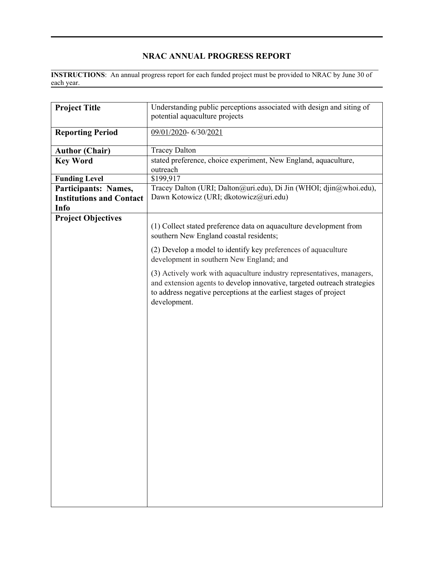## **NRAC ANNUAL PROGRESS REPORT**

 $\mathcal{L}_\mathcal{L} = \mathcal{L}_\mathcal{L} = \mathcal{L}_\mathcal{L} = \mathcal{L}_\mathcal{L} = \mathcal{L}_\mathcal{L} = \mathcal{L}_\mathcal{L} = \mathcal{L}_\mathcal{L} = \mathcal{L}_\mathcal{L} = \mathcal{L}_\mathcal{L} = \mathcal{L}_\mathcal{L} = \mathcal{L}_\mathcal{L} = \mathcal{L}_\mathcal{L} = \mathcal{L}_\mathcal{L} = \mathcal{L}_\mathcal{L} = \mathcal{L}_\mathcal{L} = \mathcal{L}_\mathcal{L} = \mathcal{L}_\mathcal{L}$ **INSTRUCTIONS**: An annual progress report for each funded project must be provided to NRAC by June 30 of each year.

| <b>Project Title</b>            | Understanding public perceptions associated with design and siting of<br>potential aquaculture projects                                                                                                                                 |  |  |  |  |
|---------------------------------|-----------------------------------------------------------------------------------------------------------------------------------------------------------------------------------------------------------------------------------------|--|--|--|--|
| <b>Reporting Period</b>         | 09/01/2020-6/30/2021                                                                                                                                                                                                                    |  |  |  |  |
| <b>Author (Chair)</b>           | <b>Tracey Dalton</b>                                                                                                                                                                                                                    |  |  |  |  |
| <b>Key Word</b>                 | stated preference, choice experiment, New England, aquaculture,                                                                                                                                                                         |  |  |  |  |
|                                 | outreach                                                                                                                                                                                                                                |  |  |  |  |
| <b>Funding Level</b>            | \$199,917                                                                                                                                                                                                                               |  |  |  |  |
| Participants: Names,            | Tracey Dalton (URI; Dalton@uri.edu), Di Jin (WHOI; djin@whoi.edu),                                                                                                                                                                      |  |  |  |  |
| <b>Institutions and Contact</b> | Dawn Kotowicz (URI; dkotowicz@uri.edu)                                                                                                                                                                                                  |  |  |  |  |
| Info                            |                                                                                                                                                                                                                                         |  |  |  |  |
| <b>Project Objectives</b>       | (1) Collect stated preference data on aquaculture development from<br>southern New England coastal residents;                                                                                                                           |  |  |  |  |
|                                 | (2) Develop a model to identify key preferences of aquaculture<br>development in southern New England; and                                                                                                                              |  |  |  |  |
|                                 | (3) Actively work with aquaculture industry representatives, managers,<br>and extension agents to develop innovative, targeted outreach strategies<br>to address negative perceptions at the earliest stages of project<br>development. |  |  |  |  |
|                                 |                                                                                                                                                                                                                                         |  |  |  |  |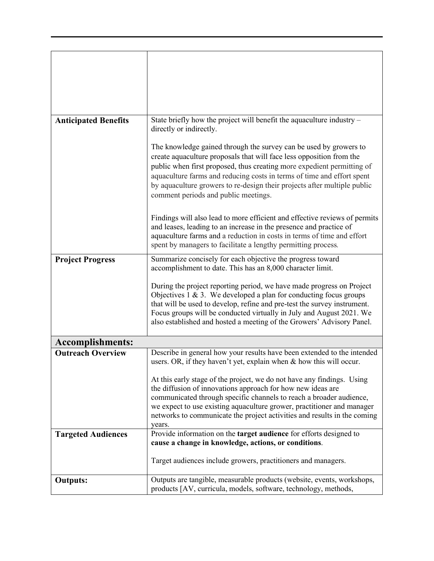| <b>Anticipated Benefits</b> | State briefly how the project will benefit the aquaculture industry -<br>directly or indirectly.                                                                                                                                                                                                                                                                                                                  |  |  |  |
|-----------------------------|-------------------------------------------------------------------------------------------------------------------------------------------------------------------------------------------------------------------------------------------------------------------------------------------------------------------------------------------------------------------------------------------------------------------|--|--|--|
|                             | The knowledge gained through the survey can be used by growers to<br>create aquaculture proposals that will face less opposition from the<br>public when first proposed, thus creating more expedient permitting of<br>aquaculture farms and reducing costs in terms of time and effort spent<br>by aquaculture growers to re-design their projects after multiple public<br>comment periods and public meetings. |  |  |  |
|                             | Findings will also lead to more efficient and effective reviews of permits<br>and leases, leading to an increase in the presence and practice of<br>aquaculture farms and a reduction in costs in terms of time and effort<br>spent by managers to facilitate a lengthy permitting process.                                                                                                                       |  |  |  |
| <b>Project Progress</b>     | Summarize concisely for each objective the progress toward<br>accomplishment to date. This has an 8,000 character limit.                                                                                                                                                                                                                                                                                          |  |  |  |
|                             | During the project reporting period, we have made progress on Project<br>Objectives $1 \& 3$ . We developed a plan for conducting focus groups<br>that will be used to develop, refine and pre-test the survey instrument.<br>Focus groups will be conducted virtually in July and August 2021. We<br>also established and hosted a meeting of the Growers' Advisory Panel.                                       |  |  |  |
| <b>Accomplishments:</b>     |                                                                                                                                                                                                                                                                                                                                                                                                                   |  |  |  |
| <b>Outreach Overview</b>    | Describe in general how your results have been extended to the intended<br>users. OR, if they haven't yet, explain when & how this will occur.<br>At this early stage of the project, we do not have any findings. Using<br>the diffusion of innovations approach for how new ideas are<br>communicated through specific channels to reach a broader audience,                                                    |  |  |  |
|                             | we expect to use existing aquaculture grower, practitioner and manager<br>networks to communicate the project activities and results in the coming<br>years.                                                                                                                                                                                                                                                      |  |  |  |
| <b>Targeted Audiences</b>   | Provide information on the target audience for efforts designed to<br>cause a change in knowledge, actions, or conditions.                                                                                                                                                                                                                                                                                        |  |  |  |
|                             | Target audiences include growers, practitioners and managers.                                                                                                                                                                                                                                                                                                                                                     |  |  |  |
| <b>Outputs:</b>             | Outputs are tangible, measurable products (website, events, workshops,<br>products [AV, curricula, models, software, technology, methods,                                                                                                                                                                                                                                                                         |  |  |  |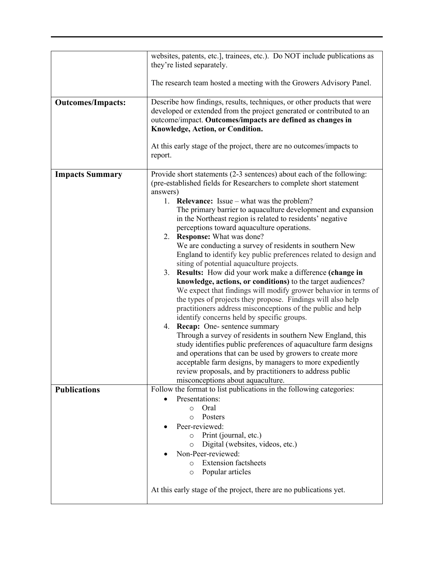|                          | websites, patents, etc.], trainees, etc.). Do NOT include publications as<br>they're listed separately.<br>The research team hosted a meeting with the Growers Advisory Panel.                                                                                                                                                                                                                                                                                                                                                                                                                                                                                                                                                                                                                                                                                                                                                                                                                                                                                                                                                                                                                                                                                                                                                                                          |  |  |  |
|--------------------------|-------------------------------------------------------------------------------------------------------------------------------------------------------------------------------------------------------------------------------------------------------------------------------------------------------------------------------------------------------------------------------------------------------------------------------------------------------------------------------------------------------------------------------------------------------------------------------------------------------------------------------------------------------------------------------------------------------------------------------------------------------------------------------------------------------------------------------------------------------------------------------------------------------------------------------------------------------------------------------------------------------------------------------------------------------------------------------------------------------------------------------------------------------------------------------------------------------------------------------------------------------------------------------------------------------------------------------------------------------------------------|--|--|--|
| <b>Outcomes/Impacts:</b> | Describe how findings, results, techniques, or other products that were<br>developed or extended from the project generated or contributed to an<br>outcome/impact. Outcomes/impacts are defined as changes in<br>Knowledge, Action, or Condition.<br>At this early stage of the project, there are no outcomes/impacts to<br>report.                                                                                                                                                                                                                                                                                                                                                                                                                                                                                                                                                                                                                                                                                                                                                                                                                                                                                                                                                                                                                                   |  |  |  |
| <b>Impacts Summary</b>   | Provide short statements (2-3 sentences) about each of the following:<br>(pre-established fields for Researchers to complete short statement<br>answers)<br>1. Relevance: Issue – what was the problem?<br>The primary barrier to aquaculture development and expansion<br>in the Northeast region is related to residents' negative<br>perceptions toward aquaculture operations.<br>2. Response: What was done?<br>We are conducting a survey of residents in southern New<br>England to identify key public preferences related to design and<br>siting of potential aquaculture projects.<br>3. Results: How did your work make a difference (change in<br>knowledge, actions, or conditions) to the target audiences?<br>We expect that findings will modify grower behavior in terms of<br>the types of projects they propose. Findings will also help<br>practitioners address misconceptions of the public and help<br>identify concerns held by specific groups.<br>4. Recap: One-sentence summary<br>Through a survey of residents in southern New England, this<br>study identifies public preferences of aquaculture farm designs<br>and operations that can be used by growers to create more<br>acceptable farm designs, by managers to more expediently<br>review proposals, and by practitioners to address public<br>misconceptions about aquaculture. |  |  |  |
| <b>Publications</b>      | Follow the format to list publications in the following categories:<br>Presentations:<br>o Oral<br>Posters<br>$\circ$<br>Peer-reviewed:<br>Print (journal, etc.)<br>$\circ$<br>Digital (websites, videos, etc.)<br>$\circ$<br>Non-Peer-reviewed:<br><b>Extension factsheets</b><br>$\circ$<br>Popular articles<br>$\circ$<br>At this early stage of the project, there are no publications yet.                                                                                                                                                                                                                                                                                                                                                                                                                                                                                                                                                                                                                                                                                                                                                                                                                                                                                                                                                                         |  |  |  |
|                          |                                                                                                                                                                                                                                                                                                                                                                                                                                                                                                                                                                                                                                                                                                                                                                                                                                                                                                                                                                                                                                                                                                                                                                                                                                                                                                                                                                         |  |  |  |